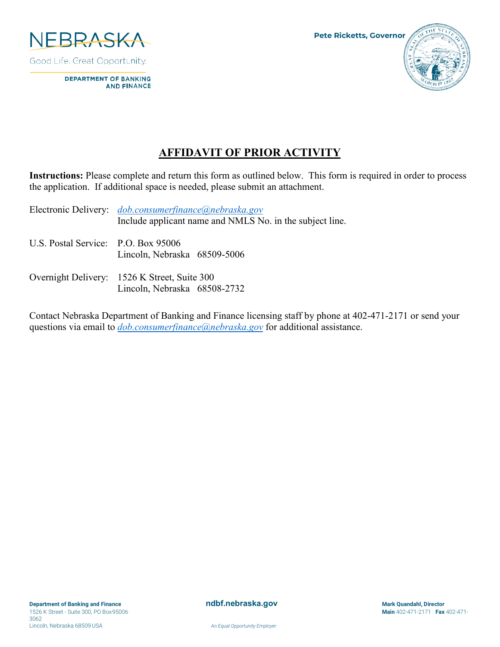

**DEPARTMENT OF BANKING AND FINANCE** 

## **AFFIDAVIT OF PRIOR ACTIVITY**

**Instructions:** Please complete and return this form as outlined below. This form is required in order to process the application. If additional space is needed, please submit an attachment.

|                                     | Electronic Delivery: <i>dob.consumerfinance@nebraska.gov</i><br>Include applicant name and NMLS No. in the subject line. |
|-------------------------------------|--------------------------------------------------------------------------------------------------------------------------|
| U.S. Postal Service: P.O. Box 95006 | Lincoln, Nebraska 68509-5006                                                                                             |
|                                     | Overnight Delivery: 1526 K Street, Suite 300<br>Lincoln, Nebraska 68508-2732                                             |

Contact Nebraska Department of Banking and Finance licensing staff by phone at 402-471-2171 or send your questions via email to *[dob.consumerfinance@nebraska.gov](mailto:dob.consumerfinance@nebraska.gov)* for additional assistance.